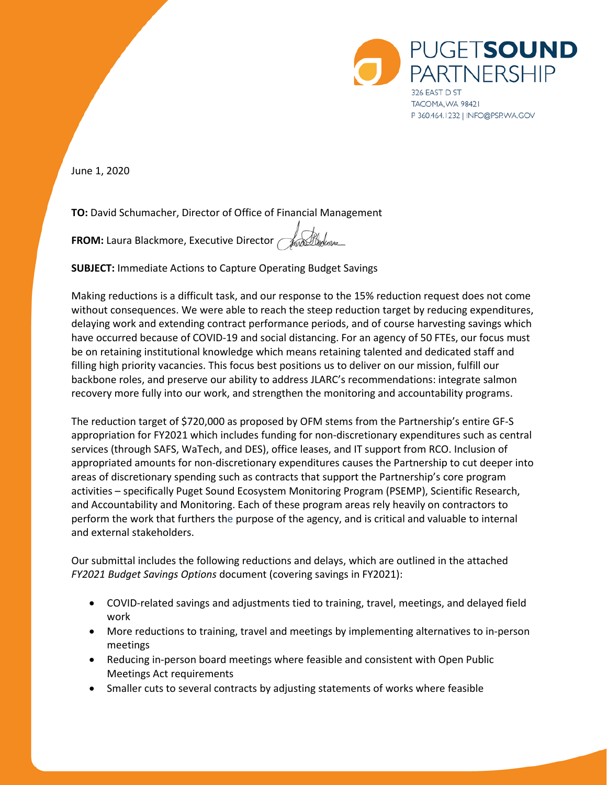

June 1, 2020

**TO:** David Schumacher, Director of Office of Financial Management

**FROM:** Laura Blackmore, Executive Director

**SUBJECT:** Immediate Actions to Capture Operating Budget Savings

Making reductions is a difficult task, and our response to the 15% reduction request does not come without consequences. We were able to reach the steep reduction target by reducing expenditures, delaying work and extending contract performance periods, and of course harvesting savings which have occurred because of COVID-19 and social distancing. For an agency of 50 FTEs, our focus must be on retaining institutional knowledge which means retaining talented and dedicated staff and filling high priority vacancies. This focus best positions us to deliver on our mission, fulfill our backbone roles, and preserve our ability to address JLARC's recommendations: integrate salmon recovery more fully into our work, and strengthen the monitoring and accountability programs.

The reduction target of \$720,000 as proposed by OFM stems from the Partnership's entire GF-S appropriation for FY2021 which includes funding for non-discretionary expenditures such as central services (through SAFS, WaTech, and DES), office leases, and IT support from RCO. Inclusion of appropriated amounts for non-discretionary expenditures causes the Partnership to cut deeper into areas of discretionary spending such as contracts that support the Partnership's core program activities – specifically Puget Sound Ecosystem Monitoring Program (PSEMP), Scientific Research, and Accountability and Monitoring. Each of these program areas rely heavily on contractors to perform the work that furthers the purpose of the agency, and is critical and valuable to internal and external stakeholders.

Our submittal includes the following reductions and delays, which are outlined in the attached *FY2021 Budget Savings Options* document (covering savings in FY2021):

- COVID-related savings and adjustments tied to training, travel, meetings, and delayed field work
- More reductions to training, travel and meetings by implementing alternatives to in-person meetings
- Reducing in-person board meetings where feasible and consistent with Open Public Meetings Act requirements
- Smaller cuts to several contracts by adjusting statements of works where feasible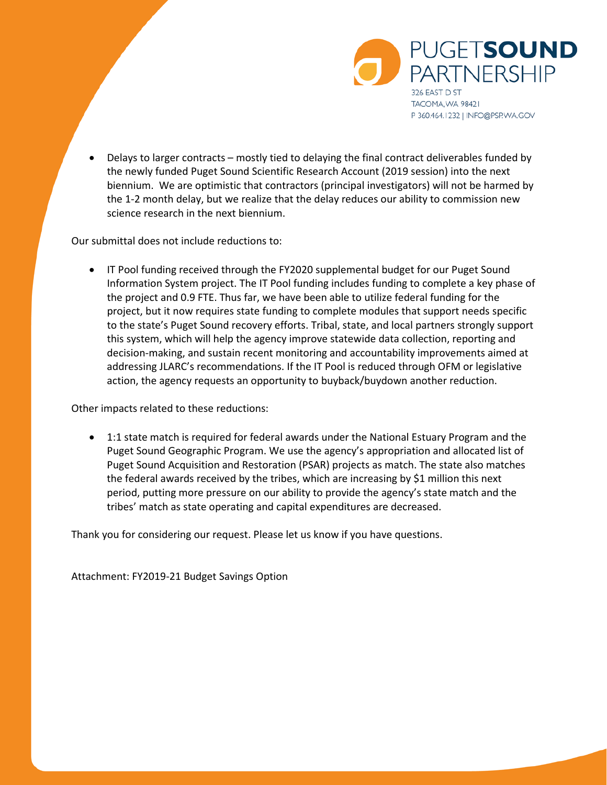

• Delays to larger contracts – mostly tied to delaying the final contract deliverables funded by the newly funded Puget Sound Scientific Research Account (2019 session) into the next biennium. We are optimistic that contractors (principal investigators) will not be harmed by the 1-2 month delay, but we realize that the delay reduces our ability to commission new science research in the next biennium.

Our submittal does not include reductions to:

• IT Pool funding received through the FY2020 supplemental budget for our Puget Sound Information System project. The IT Pool funding includes funding to complete a key phase of the project and 0.9 FTE. Thus far, we have been able to utilize federal funding for the project, but it now requires state funding to complete modules that support needs specific to the state's Puget Sound recovery efforts. Tribal, state, and local partners strongly support this system, which will help the agency improve statewide data collection, reporting and decision-making, and sustain recent monitoring and accountability improvements aimed at addressing JLARC's recommendations. If the IT Pool is reduced through OFM or legislative action, the agency requests an opportunity to buyback/buydown another reduction.

Other impacts related to these reductions:

• 1:1 state match is required for federal awards under the National Estuary Program and the Puget Sound Geographic Program. We use the agency's appropriation and allocated list of Puget Sound Acquisition and Restoration (PSAR) projects as match. The state also matches the federal awards received by the tribes, which are increasing by \$1 million this next period, putting more pressure on our ability to provide the agency's state match and the tribes' match as state operating and capital expenditures are decreased.

Thank you for considering our request. Please let us know if you have questions.

Attachment: FY2019-21 Budget Savings Option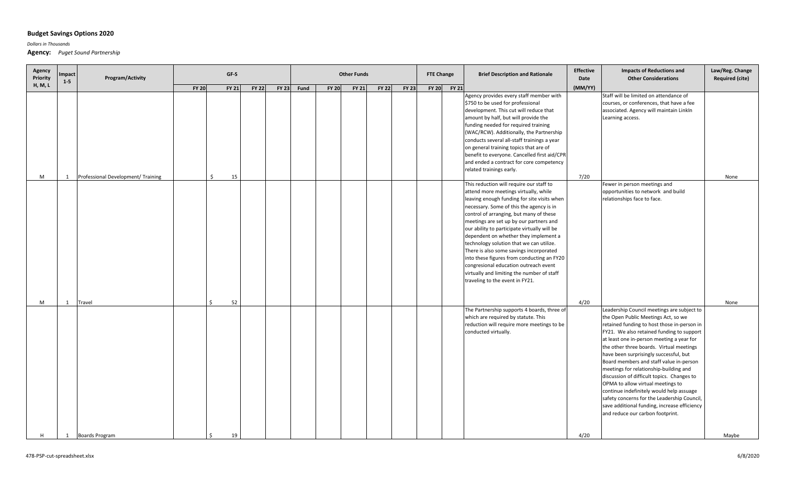## **Budget Savings Options 2020**

*Dollars in Thousands*

**Agency:** *Puget Sound Partnership*

| Agency<br>Priority | mpact<br>$1 - 5$ | Program/Activity                   |              | <b>Other Funds</b> |              |              |      |              |              | <b>FTE Change</b> | <b>Brief Description and Rationale</b> | <b>Effective</b><br>Date | <b>Impacts of Reductions and</b><br><b>Other Considerations</b> | Law/Reg. Change<br><b>Required (cite)</b>                                                                                                                                                                                                                                                                                                                                                                                                                                                                                                                                                                                  |         |                                                                                                                                                                                                                                                                                                                                                                                                                                                                                                                                                                                                                                                                         |       |
|--------------------|------------------|------------------------------------|--------------|--------------------|--------------|--------------|------|--------------|--------------|-------------------|----------------------------------------|--------------------------|-----------------------------------------------------------------|----------------------------------------------------------------------------------------------------------------------------------------------------------------------------------------------------------------------------------------------------------------------------------------------------------------------------------------------------------------------------------------------------------------------------------------------------------------------------------------------------------------------------------------------------------------------------------------------------------------------------|---------|-------------------------------------------------------------------------------------------------------------------------------------------------------------------------------------------------------------------------------------------------------------------------------------------------------------------------------------------------------------------------------------------------------------------------------------------------------------------------------------------------------------------------------------------------------------------------------------------------------------------------------------------------------------------------|-------|
| H, M, L            |                  |                                    | <b>FY 20</b> | <b>FY 21</b>       | <b>FY 22</b> | <b>FY 23</b> | Fund | <b>FY 20</b> | <b>FY 21</b> | <b>FY 22</b>      | <b>FY 23</b>                           |                          | FY 20 FY 21                                                     |                                                                                                                                                                                                                                                                                                                                                                                                                                                                                                                                                                                                                            | (MM/YY) |                                                                                                                                                                                                                                                                                                                                                                                                                                                                                                                                                                                                                                                                         |       |
| M                  | 1                | Professional Development/ Training | \$           | 15                 |              |              |      |              |              |                   |                                        |                          |                                                                 | Agency provides every staff member with<br>\$750 to be used for professional<br>development. This cut will reduce that<br>amount by half, but will provide the<br>funding needed for required training<br>(WAC/RCW). Additionally, the Partnership<br>conducts several all-staff trainings a year<br>on general training topics that are of<br>benefit to everyone. Cancelled first aid/CPR<br>and ended a contract for core competency<br>related trainings early.                                                                                                                                                        | 7/20    | Staff will be limited on attendance of<br>courses, or conferences, that have a fee<br>associated. Agency will maintain LinkIn<br>Learning access.                                                                                                                                                                                                                                                                                                                                                                                                                                                                                                                       | None  |
|                    |                  |                                    |              |                    |              |              |      |              |              |                   |                                        |                          |                                                                 | This reduction will require our staff to<br>attend more meetings virtually, while<br>leaving enough funding for site visits when<br>necessary. Some of this the agency is in<br>control of arranging, but many of these<br>meetings are set up by our partners and<br>our ability to participate virtually will be<br>dependent on whether they implement a<br>technology solution that we can utilize.<br>There is also some savings incorporated<br>into these figures from conducting an FY20<br>congresional education outreach event<br>virtually and limiting the number of staff<br>traveling to the event in FY21. |         | Fewer in person meetings and<br>opportunities to network and build<br>relationships face to face.                                                                                                                                                                                                                                                                                                                                                                                                                                                                                                                                                                       |       |
| M                  | 1                | Travel                             | $\zeta$      | 52                 |              |              |      |              |              |                   |                                        |                          |                                                                 |                                                                                                                                                                                                                                                                                                                                                                                                                                                                                                                                                                                                                            | 4/20    |                                                                                                                                                                                                                                                                                                                                                                                                                                                                                                                                                                                                                                                                         | None  |
|                    |                  |                                    |              |                    |              |              |      |              |              |                   |                                        |                          |                                                                 | The Partnership supports 4 boards, three of<br>which are required by statute. This<br>reduction will require more meetings to be<br>conducted virtually.                                                                                                                                                                                                                                                                                                                                                                                                                                                                   |         | Leadership Council meetings are subject to<br>the Open Public Meetings Act, so we<br>retained funding to host those in-person in<br>FY21. We also retained funding to support<br>at least one in-person meeting a year for<br>the other three boards. Virtual meetings<br>have been surprisingly successful, but<br>Board members and staff value in-person<br>meetings for relationship-building and<br>discussion of difficult topics. Changes to<br>OPMA to allow virtual meetings to<br>continue indefinitely would help assuage<br>safety concerns for the Leadership Council,<br>save additional funding, increase efficiency<br>and reduce our carbon footprint. |       |
| H                  | 1                | <b>Boards Program</b>              | Ś.           | 19                 |              |              |      |              |              |                   |                                        |                          |                                                                 |                                                                                                                                                                                                                                                                                                                                                                                                                                                                                                                                                                                                                            | 4/20    |                                                                                                                                                                                                                                                                                                                                                                                                                                                                                                                                                                                                                                                                         | Maybe |